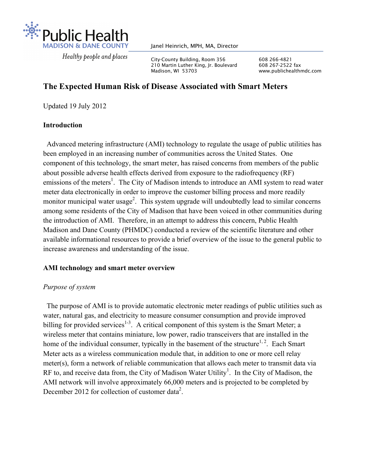

Healthy people and places

Janel Heinrich, MPH, MA, Director

City-County Building, Room 356 608 266-4821<br>210 Martin Luther King. Ir. Boulevard 608 267-2522 fax 210 Martin Luther King, Jr. Boulevard Madison, WI 53703 www.publichealthmdc.com

# **The Expected Human Risk of Disease Associated with Smart Meters**

Updated 19 July 2012

# **Introduction**

 Advanced metering infrastructure (AMI) technology to regulate the usage of public utilities has been employed in an increasing number of communities across the United States. One component of this technology, the smart meter, has raised concerns from members of the public about possible adverse health effects derived from exposure to the radiofrequency (RF) emissions of the meters<sup>1</sup>. The City of Madison intends to introduce an AMI system to read water meter data electronically in order to improve the customer billing process and more readily monitor municipal water usage<sup>2</sup>. This system upgrade will undoubtedly lead to similar concerns among some residents of the City of Madison that have been voiced in other communities during the introduction of AMI. Therefore, in an attempt to address this concern, Public Health Madison and Dane County (PHMDC) conducted a review of the scientific literature and other available informational resources to provide a brief overview of the issue to the general public to increase awareness and understanding of the issue.

# **AMI technology and smart meter overview**

# *Purpose of system*

 The purpose of AMI is to provide automatic electronic meter readings of public utilities such as water, natural gas, and electricity to measure consumer consumption and provide improved billing for provided services<sup>1-3</sup>. A critical component of this system is the Smart Meter; a wireless meter that contains miniature, low power, radio transceivers that are installed in the home of the individual consumer, typically in the basement of the structure<sup>1, 2</sup>. Each Smart Meter acts as a wireless communication module that, in addition to one or more cell relay meter(s), form a network of reliable communication that allows each meter to transmit data via RF to, and receive data from, the City of Madison Water Utility<sup>1</sup>. In the City of Madison, the AMI network will involve approximately 66,000 meters and is projected to be completed by December 2012 for collection of customer data<sup>2</sup>.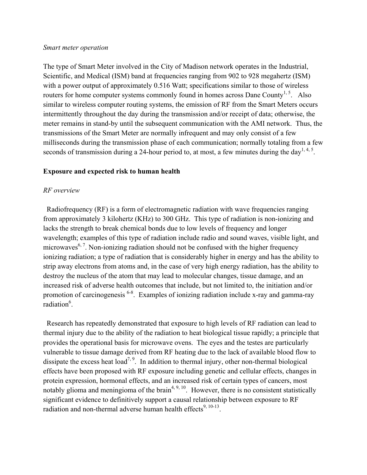#### *Smart meter operation*

The type of Smart Meter involved in the City of Madison network operates in the Industrial, Scientific, and Medical (ISM) band at frequencies ranging from 902 to 928 megahertz (ISM) with a power output of approximately 0.516 Watt; specifications similar to those of wireless routers for home computer systems commonly found in homes across Dane County<sup>1, 5</sup>. Also similar to wireless computer routing systems, the emission of RF from the Smart Meters occurs intermittently throughout the day during the transmission and/or receipt of data; otherwise, the meter remains in stand-by until the subsequent communication with the AMI network. Thus, the transmissions of the Smart Meter are normally infrequent and may only consist of a few milliseconds during the transmission phase of each communication; normally totaling from a few seconds of transmission during a 24-hour period to, at most, a few minutes during the day<sup>1, 4, 5</sup>.

### **Exposure and expected risk to human health**

### *RF overview*

 Radiofrequency (RF) is a form of electromagnetic radiation with wave frequencies ranging from approximately 3 kilohertz (KHz) to 300 GHz. This type of radiation is non-ionizing and lacks the strength to break chemical bonds due to low levels of frequency and longer wavelength; examples of this type of radiation include radio and sound waves, visible light, and microwaves<sup>6, 7</sup>. Non-ionizing radiation should not be confused with the higher frequency ionizing radiation; a type of radiation that is considerably higher in energy and has the ability to strip away electrons from atoms and, in the case of very high energy radiation, has the ability to destroy the nucleus of the atom that may lead to molecular changes, tissue damage, and an increased risk of adverse health outcomes that include, but not limited to, the initiation and/or promotion of carcinogenesis 6-8. Examples of ionizing radiation include x-ray and gamma-ray radiation<sup>6</sup>.

 Research has repeatedly demonstrated that exposure to high levels of RF radiation can lead to thermal injury due to the ability of the radiation to heat biological tissue rapidly; a principle that provides the operational basis for microwave ovens. The eyes and the testes are particularly vulnerable to tissue damage derived from RF heating due to the lack of available blood flow to dissipate the excess heat load<sup>7, 9</sup>. In addition to thermal injury, other non-thermal biological effects have been proposed with RF exposure including genetic and cellular effects, changes in protein expression, hormonal effects, and an increased risk of certain types of cancers, most notably glioma and meningioma of the brain<sup> $4, 9, 10$ </sup>. However, there is no consistent statistically significant evidence to definitively support a causal relationship between exposure to RF radiation and non-thermal adverse human health effects $9, 10-13$ .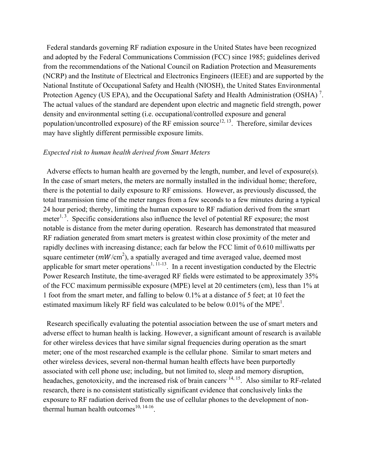Federal standards governing RF radiation exposure in the United States have been recognized and adopted by the Federal Communications Commission (FCC) since 1985; guidelines derived from the recommendations of the National Council on Radiation Protection and Measurements (NCRP) and the Institute of Electrical and Electronics Engineers (IEEE) and are supported by the National Institute of Occupational Safety and Health (NIOSH), the United States Environmental Protection Agency (US EPA), and the Occupational Safety and Health Administration (OSHA)<sup>7</sup>. The actual values of the standard are dependent upon electric and magnetic field strength, power density and environmental setting (i.e. occupational/controlled exposure and general population/uncontrolled exposure) of the RF emission source<sup>12, 13</sup>. Therefore, similar devices may have slightly different permissible exposure limits.

### *Expected risk to human health derived from Smart Meters*

 Adverse effects to human health are governed by the length, number, and level of exposure(s). In the case of smart meters, the meters are normally installed in the individual home; therefore, there is the potential to daily exposure to RF emissions. However, as previously discussed, the total transmission time of the meter ranges from a few seconds to a few minutes during a typical 24 hour period; thereby, limiting the human exposure to RF radiation derived from the smart meter<sup>1, 3</sup>. Specific considerations also influence the level of potential RF exposure; the most notable is distance from the meter during operation. Research has demonstrated that measured RF radiation generated from smart meters is greatest within close proximity of the meter and rapidly declines with increasing distance; each far below the FCC limit of 0.610 milliwatts per square centimeter ( $mW/cm<sup>2</sup>$ ), a spatially averaged and time averaged value, deemed most applicable for smart meter operations<sup>1, 11-13</sup>. In a recent investigation conducted by the Electric Power Research Institute, the time-averaged RF fields were estimated to be approximately 35% of the FCC maximum permissible exposure (MPE) level at 20 centimeters (cm), less than 1% at 1 foot from the smart meter, and falling to below 0.1% at a distance of 5 feet; at 10 feet the estimated maximum likely RF field was calculated to be below 0.01% of the MPE<sup>1</sup>.

 Research specifically evaluating the potential association between the use of smart meters and adverse effect to human health is lacking. However, a significant amount of research is available for other wireless devices that have similar signal frequencies during operation as the smart meter; one of the most researched example is the cellular phone. Similar to smart meters and other wireless devices, several non-thermal human health effects have been purportedly associated with cell phone use; including, but not limited to, sleep and memory disruption, headaches, genotoxicity, and the increased risk of brain cancers<sup>, 14, 15</sup>. Also similar to RF-related research, there is no consistent statistically significant evidence that conclusively links the exposure to RF radiation derived from the use of cellular phones to the development of nonthermal human health outcomes $^{10, 14-16}$ .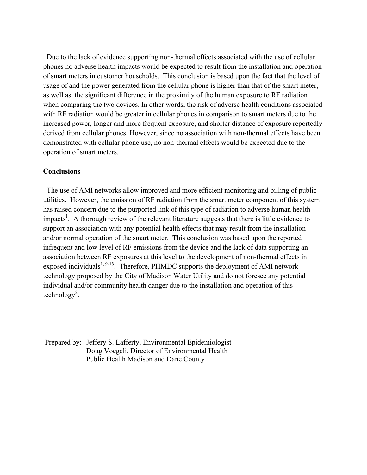Due to the lack of evidence supporting non-thermal effects associated with the use of cellular phones no adverse health impacts would be expected to result from the installation and operation of smart meters in customer households. This conclusion is based upon the fact that the level of usage of and the power generated from the cellular phone is higher than that of the smart meter, as well as, the significant difference in the proximity of the human exposure to RF radiation when comparing the two devices. In other words, the risk of adverse health conditions associated with RF radiation would be greater in cellular phones in comparison to smart meters due to the increased power, longer and more frequent exposure, and shorter distance of exposure reportedly derived from cellular phones. However, since no association with non-thermal effects have been demonstrated with cellular phone use, no non-thermal effects would be expected due to the operation of smart meters.

#### **Conclusions**

The use of AMI networks allow improved and more efficient monitoring and billing of public utilities. However, the emission of RF radiation from the smart meter component of this system has raised concern due to the purported link of this type of radiation to adverse human health impacts<sup>1</sup>. A thorough review of the relevant literature suggests that there is little evidence to support an association with any potential health effects that may result from the installation and/or normal operation of the smart meter. This conclusion was based upon the reported infrequent and low level of RF emissions from the device and the lack of data supporting an association between RF exposures at this level to the development of non-thermal effects in exposed individuals<sup>1, 9-13</sup>. Therefore, PHMDC supports the deployment of AMI network technology proposed by the City of Madison Water Utility and do not foresee any potential individual and/or community health danger due to the installation and operation of this  $technology<sup>2</sup>$ .

Prepared by: Jeffery S. Lafferty, Environmental Epidemiologist Doug Voegeli, Director of Environmental Health Public Health Madison and Dane County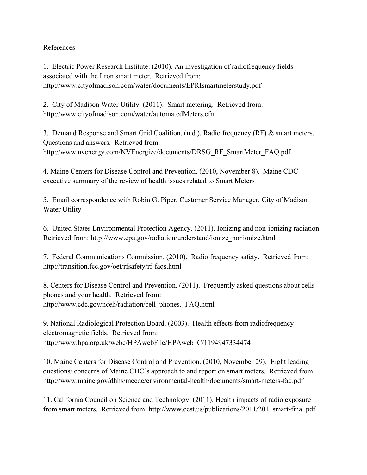# References

1. Electric Power Research Institute. (2010). An investigation of radiofrequency fields associated with the Itron smart meter. Retrieved from: http://www.cityofmadison.com/water/documents/EPRIsmartmeterstudy.pdf

2. City of Madison Water Utility. (2011). Smart metering. Retrieved from: http://www.cityofmadison.com/water/automatedMeters.cfm

3. Demand Response and Smart Grid Coalition. (n.d.). Radio frequency (RF) & smart meters. Questions and answers. Retrieved from: http://www.nvenergy.com/NVEnergize/documents/DRSG\_RF\_SmartMeter\_FAQ.pdf

4. Maine Centers for Disease Control and Prevention. (2010, November 8). Maine CDC executive summary of the review of health issues related to Smart Meters

5. Email correspondence with Robin G. Piper, Customer Service Manager, City of Madison Water Utility

6. United States Environmental Protection Agency. (2011). Ionizing and non-ionizing radiation. Retrieved from: http://www.epa.gov/radiation/understand/ionize\_nonionize.html

7. Federal Communications Commission. (2010). Radio frequency safety. Retrieved from: http://transition.fcc.gov/oet/rfsafety/rf-faqs.html

8. Centers for Disease Control and Prevention. (2011). Frequently asked questions about cells phones and your health. Retrieved from: http://www.cdc.gov/nceh/radiation/cell\_phones.\_FAQ.html

9. National Radiological Protection Board. (2003). Health effects from radiofrequency electromagnetic fields. Retrieved from: http://www.hpa.org.uk/webc/HPAwebFile/HPAweb\_C/1194947334474

10. Maine Centers for Disease Control and Prevention. (2010, November 29). Eight leading questions/ concerns of Maine CDC's approach to and report on smart meters. Retrieved from: http://www.maine.gov/dhhs/mecdc/environmental-health/documents/smart-meters-faq.pdf

11. California Council on Science and Technology. (2011). Health impacts of radio exposure from smart meters. Retrieved from: http://www.ccst.us/publications/2011/2011smart-final.pdf